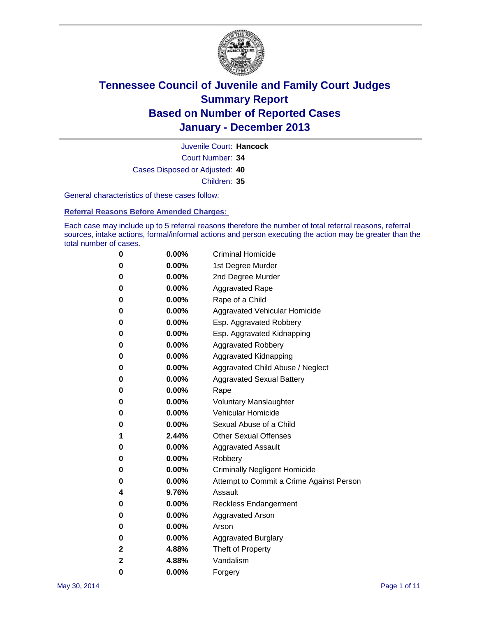

Court Number: **34** Juvenile Court: **Hancock** Cases Disposed or Adjusted: **40** Children: **35**

General characteristics of these cases follow:

**Referral Reasons Before Amended Charges:** 

Each case may include up to 5 referral reasons therefore the number of total referral reasons, referral sources, intake actions, formal/informal actions and person executing the action may be greater than the total number of cases.

| 0 | $0.00\%$ | <b>Criminal Homicide</b>                 |
|---|----------|------------------------------------------|
| 0 | 0.00%    | 1st Degree Murder                        |
| 0 | 0.00%    | 2nd Degree Murder                        |
| 0 | $0.00\%$ | <b>Aggravated Rape</b>                   |
| 0 | 0.00%    | Rape of a Child                          |
| 0 | 0.00%    | Aggravated Vehicular Homicide            |
| 0 | $0.00\%$ | Esp. Aggravated Robbery                  |
| 0 | 0.00%    | Esp. Aggravated Kidnapping               |
| 0 | 0.00%    | <b>Aggravated Robbery</b>                |
| 0 | $0.00\%$ | Aggravated Kidnapping                    |
| 0 | 0.00%    | Aggravated Child Abuse / Neglect         |
| 0 | 0.00%    | <b>Aggravated Sexual Battery</b>         |
| 0 | $0.00\%$ | Rape                                     |
| 0 | $0.00\%$ | <b>Voluntary Manslaughter</b>            |
| 0 | 0.00%    | <b>Vehicular Homicide</b>                |
| 0 | $0.00\%$ | Sexual Abuse of a Child                  |
| 1 | 2.44%    | <b>Other Sexual Offenses</b>             |
| 0 | 0.00%    | <b>Aggravated Assault</b>                |
| 0 | $0.00\%$ | Robbery                                  |
| 0 | 0.00%    | <b>Criminally Negligent Homicide</b>     |
| 0 | 0.00%    | Attempt to Commit a Crime Against Person |
| 4 | 9.76%    | Assault                                  |
| 0 | 0.00%    | Reckless Endangerment                    |
| 0 | 0.00%    | <b>Aggravated Arson</b>                  |
| 0 | $0.00\%$ | Arson                                    |
| 0 | 0.00%    | <b>Aggravated Burglary</b>               |
| 2 | 4.88%    | Theft of Property                        |
| 2 | 4.88%    | Vandalism                                |
| 0 | 0.00%    | Forgery                                  |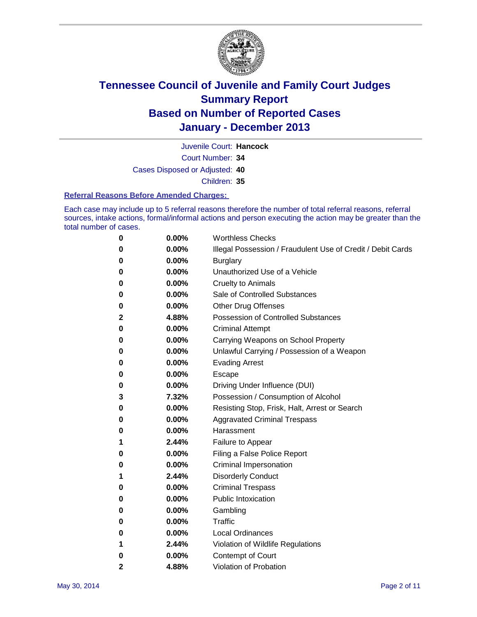

Court Number: **34** Juvenile Court: **Hancock** Cases Disposed or Adjusted: **40** Children: **35**

#### **Referral Reasons Before Amended Charges:**

Each case may include up to 5 referral reasons therefore the number of total referral reasons, referral sources, intake actions, formal/informal actions and person executing the action may be greater than the total number of cases.

| 0 | 0.00%    | <b>Worthless Checks</b>                                     |
|---|----------|-------------------------------------------------------------|
| 0 | 0.00%    | Illegal Possession / Fraudulent Use of Credit / Debit Cards |
| 0 | 0.00%    | <b>Burglary</b>                                             |
| 0 | $0.00\%$ | Unauthorized Use of a Vehicle                               |
| 0 | 0.00%    | <b>Cruelty to Animals</b>                                   |
| 0 | 0.00%    | Sale of Controlled Substances                               |
| 0 | 0.00%    | <b>Other Drug Offenses</b>                                  |
| 2 | 4.88%    | Possession of Controlled Substances                         |
| 0 | 0.00%    | <b>Criminal Attempt</b>                                     |
| 0 | 0.00%    | Carrying Weapons on School Property                         |
| 0 | 0.00%    | Unlawful Carrying / Possession of a Weapon                  |
| 0 | 0.00%    | <b>Evading Arrest</b>                                       |
| 0 | 0.00%    | Escape                                                      |
| 0 | 0.00%    | Driving Under Influence (DUI)                               |
| 3 | 7.32%    | Possession / Consumption of Alcohol                         |
| 0 | 0.00%    | Resisting Stop, Frisk, Halt, Arrest or Search               |
| 0 | $0.00\%$ | <b>Aggravated Criminal Trespass</b>                         |
| 0 | 0.00%    | Harassment                                                  |
| 1 | 2.44%    | Failure to Appear                                           |
| 0 | 0.00%    | Filing a False Police Report                                |
| 0 | $0.00\%$ | Criminal Impersonation                                      |
| 1 | 2.44%    | <b>Disorderly Conduct</b>                                   |
| 0 | 0.00%    | <b>Criminal Trespass</b>                                    |
| 0 | 0.00%    | <b>Public Intoxication</b>                                  |
| 0 | 0.00%    | Gambling                                                    |
| 0 | 0.00%    | Traffic                                                     |
| 0 | 0.00%    | <b>Local Ordinances</b>                                     |
| 1 | 2.44%    | Violation of Wildlife Regulations                           |
| 0 | 0.00%    | Contempt of Court                                           |
| 2 | 4.88%    | Violation of Probation                                      |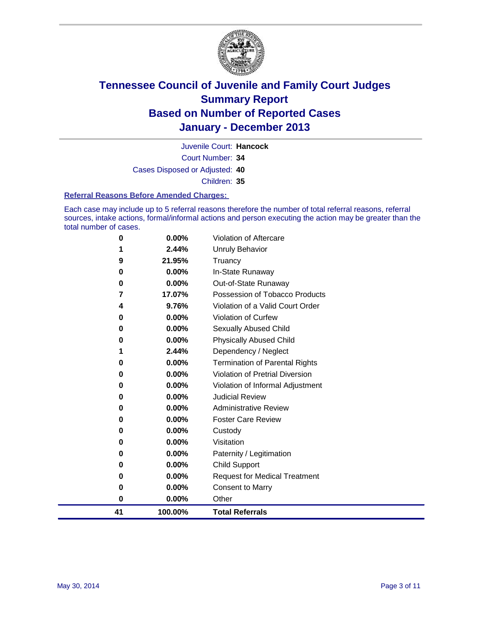

Court Number: **34** Juvenile Court: **Hancock** Cases Disposed or Adjusted: **40** Children: **35**

#### **Referral Reasons Before Amended Charges:**

Each case may include up to 5 referral reasons therefore the number of total referral reasons, referral sources, intake actions, formal/informal actions and person executing the action may be greater than the total number of cases.

| 41 | 100.00%                                   | <b>Total Referrals</b>                                                                            |
|----|-------------------------------------------|---------------------------------------------------------------------------------------------------|
| 0  | 0.00%                                     | Other                                                                                             |
| 0  | 0.00%                                     | <b>Consent to Marry</b>                                                                           |
| 0  | 0.00%                                     | <b>Request for Medical Treatment</b>                                                              |
| 0  | 0.00%                                     | Child Support                                                                                     |
| 0  | 0.00%                                     | Paternity / Legitimation                                                                          |
| 0  | 0.00%                                     | Visitation                                                                                        |
| 0  | 0.00%                                     | Custody                                                                                           |
| 0  | 0.00%                                     | <b>Foster Care Review</b>                                                                         |
| 0  | 0.00%                                     | <b>Administrative Review</b>                                                                      |
| 0  | 0.00%                                     | <b>Judicial Review</b>                                                                            |
| 0  | 0.00%                                     | Violation of Informal Adjustment                                                                  |
| 0  | 0.00%                                     | <b>Violation of Pretrial Diversion</b>                                                            |
| 0  | 0.00%                                     | <b>Termination of Parental Rights</b>                                                             |
|    |                                           | Dependency / Neglect                                                                              |
|    |                                           | <b>Physically Abused Child</b>                                                                    |
|    |                                           | Sexually Abused Child                                                                             |
|    |                                           | <b>Violation of Curfew</b>                                                                        |
|    |                                           | Violation of a Valid Court Order                                                                  |
|    |                                           | Possession of Tobacco Products                                                                    |
|    |                                           | Out-of-State Runaway                                                                              |
|    |                                           | Truancy<br>In-State Runaway                                                                       |
|    |                                           | <b>Unruly Behavior</b>                                                                            |
|    |                                           | <b>Violation of Aftercare</b>                                                                     |
|    | 0<br>9<br>0<br>0<br>7<br>4<br>0<br>0<br>0 | 0.00%<br>2.44%<br>21.95%<br>0.00%<br>0.00%<br>17.07%<br>9.76%<br>0.00%<br>0.00%<br>0.00%<br>2.44% |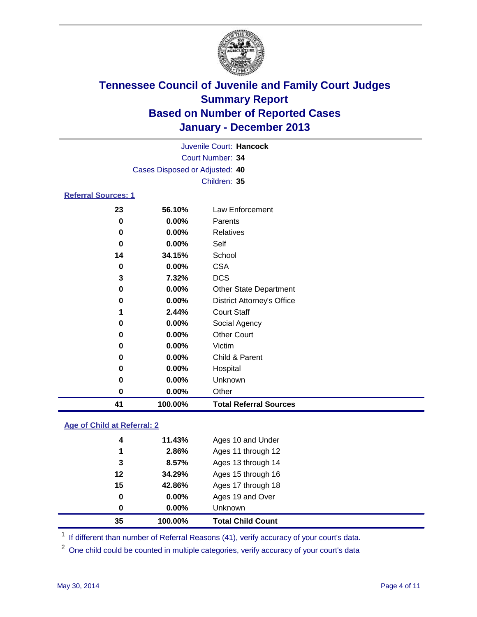

|                            |                                | Juvenile Court: Hancock |  |
|----------------------------|--------------------------------|-------------------------|--|
|                            |                                | Court Number: 34        |  |
|                            | Cases Disposed or Adjusted: 40 |                         |  |
|                            |                                | Children: 35            |  |
| <b>Referral Sources: 1</b> |                                |                         |  |
| 23                         | 56.10%                         | Law Enforcement         |  |
| 0                          | $0.00\%$                       | Parents                 |  |
| 0                          | $0.00\%$                       | <b>Relatives</b>        |  |
| 0                          | $0.00\%$                       | Self                    |  |

| 41 | 100.00% | <b>Total Referral Sources</b>     |  |
|----|---------|-----------------------------------|--|
| 0  | 0.00%   | Other                             |  |
| 0  | 0.00%   | Unknown                           |  |
| 0  | 0.00%   | Hospital                          |  |
| 0  | 0.00%   | Child & Parent                    |  |
| 0  | 0.00%   | Victim                            |  |
| 0  | 0.00%   | <b>Other Court</b>                |  |
| 0  | 0.00%   | Social Agency                     |  |
| 1  | 2.44%   | <b>Court Staff</b>                |  |
| 0  | 0.00%   | <b>District Attorney's Office</b> |  |
| 0  | 0.00%   | <b>Other State Department</b>     |  |
| 3  | 7.32%   | <b>DCS</b>                        |  |
| 0  | 0.00%   | <b>CSA</b>                        |  |
| 14 | 34.15%  | School                            |  |

### **Age of Child at Referral: 2**

|    |        | <b>Unknown</b>     |
|----|--------|--------------------|
| 0  | 0.00%  | Ages 19 and Over   |
| 15 | 42.86% | Ages 17 through 18 |
| 12 | 34.29% | Ages 15 through 16 |
| 3  | 8.57%  | Ages 13 through 14 |
| 1  | 2.86%  | Ages 11 through 12 |
| 4  | 11.43% | Ages 10 and Under  |
|    |        | 0.00%<br>0         |

<sup>1</sup> If different than number of Referral Reasons (41), verify accuracy of your court's data.

<sup>2</sup> One child could be counted in multiple categories, verify accuracy of your court's data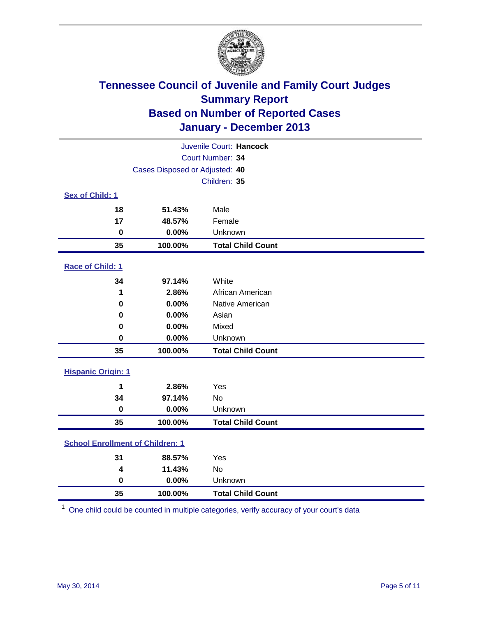

|                                         |                                | Juvenile Court: Hancock  |
|-----------------------------------------|--------------------------------|--------------------------|
|                                         |                                | Court Number: 34         |
|                                         | Cases Disposed or Adjusted: 40 |                          |
|                                         |                                | Children: 35             |
| Sex of Child: 1                         |                                |                          |
| 18                                      | 51.43%                         | Male                     |
| 17                                      | 48.57%                         | Female                   |
| $\mathbf 0$                             | 0.00%                          | Unknown                  |
| 35                                      | 100.00%                        | <b>Total Child Count</b> |
| Race of Child: 1                        |                                |                          |
| 34                                      | 97.14%                         | White                    |
| 1                                       | 2.86%                          | African American         |
| $\bf{0}$                                | 0.00%                          | Native American          |
| 0                                       | 0.00%                          | Asian                    |
| 0                                       | 0.00%                          | Mixed                    |
| 0                                       | 0.00%                          | Unknown                  |
| 35                                      | 100.00%                        | <b>Total Child Count</b> |
| <b>Hispanic Origin: 1</b>               |                                |                          |
| 1                                       | 2.86%                          | Yes                      |
| 34                                      | 97.14%                         | <b>No</b>                |
| $\mathbf 0$                             | 0.00%                          | Unknown                  |
| 35                                      | 100.00%                        | <b>Total Child Count</b> |
| <b>School Enrollment of Children: 1</b> |                                |                          |
| 31                                      | 88.57%                         | Yes                      |
| 4                                       | 11.43%                         | <b>No</b>                |
| $\mathbf 0$                             | 0.00%                          | Unknown                  |
| 35                                      | 100.00%                        | <b>Total Child Count</b> |

One child could be counted in multiple categories, verify accuracy of your court's data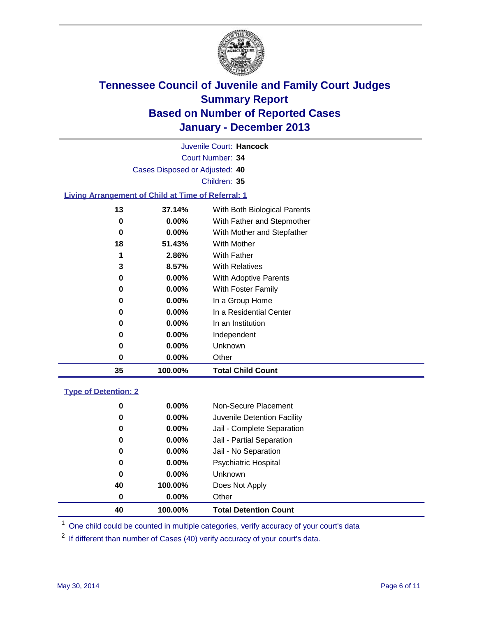

Court Number: **34** Juvenile Court: **Hancock** Cases Disposed or Adjusted: **40** Children: **35**

### **Living Arrangement of Child at Time of Referral: 1**

| 35 | 100.00%  | <b>Total Child Count</b>     |
|----|----------|------------------------------|
| 0  | $0.00\%$ | Other                        |
| 0  | $0.00\%$ | Unknown                      |
| 0  | $0.00\%$ | Independent                  |
| 0  | $0.00\%$ | In an Institution            |
| 0  | $0.00\%$ | In a Residential Center      |
| 0  | $0.00\%$ | In a Group Home              |
| 0  | $0.00\%$ | With Foster Family           |
| 0  | 0.00%    | <b>With Adoptive Parents</b> |
| 3  | 8.57%    | <b>With Relatives</b>        |
| 1  | 2.86%    | With Father                  |
| 18 | 51.43%   | With Mother                  |
| 0  | 0.00%    | With Mother and Stepfather   |
| 0  | $0.00\%$ | With Father and Stepmother   |
| 13 | 37.14%   | With Both Biological Parents |
|    |          |                              |

### **Type of Detention: 2**

| 40 | 100.00%  | <b>Total Detention Count</b> |
|----|----------|------------------------------|
| 0  | $0.00\%$ | Other                        |
| 40 | 100.00%  | Does Not Apply               |
| 0  | $0.00\%$ | <b>Unknown</b>               |
| 0  | $0.00\%$ | <b>Psychiatric Hospital</b>  |
| 0  | 0.00%    | Jail - No Separation         |
| 0  | $0.00\%$ | Jail - Partial Separation    |
| 0  | 0.00%    | Jail - Complete Separation   |
| 0  | $0.00\%$ | Juvenile Detention Facility  |
| 0  | 0.00%    | Non-Secure Placement         |
|    |          |                              |

<sup>1</sup> One child could be counted in multiple categories, verify accuracy of your court's data

<sup>2</sup> If different than number of Cases (40) verify accuracy of your court's data.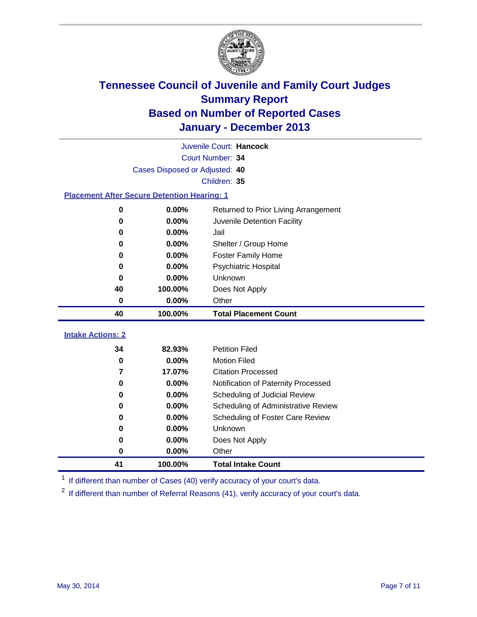

|                                                    |                                | Juvenile Court: Hancock              |
|----------------------------------------------------|--------------------------------|--------------------------------------|
|                                                    |                                | Court Number: 34                     |
|                                                    | Cases Disposed or Adjusted: 40 |                                      |
|                                                    |                                | Children: 35                         |
| <b>Placement After Secure Detention Hearing: 1</b> |                                |                                      |
| 0                                                  | 0.00%                          | Returned to Prior Living Arrangement |
| $\bf{0}$                                           | 0.00%                          | Juvenile Detention Facility          |
| 0                                                  | 0.00%                          | Jail                                 |
| 0                                                  | 0.00%                          | Shelter / Group Home                 |
| 0                                                  | 0.00%                          | <b>Foster Family Home</b>            |
| 0                                                  | 0.00%                          | <b>Psychiatric Hospital</b>          |
| 0                                                  | 0.00%                          | Unknown                              |
| 40                                                 | 100.00%                        | Does Not Apply                       |
| 0                                                  | 0.00%                          | Other                                |
| 40                                                 | 100.00%                        | <b>Total Placement Count</b>         |
| <b>Intake Actions: 2</b>                           |                                |                                      |
| 34                                                 | 82.93%                         | <b>Petition Filed</b>                |
| 0                                                  | 0.00%                          | <b>Motion Filed</b>                  |
| $\overline{\mathbf{z}}$                            | 17.07%                         | <b>Citation Processed</b>            |
| 0                                                  | 0.00%                          | Notification of Paternity Processed  |
| 0                                                  | 0.00%                          | Scheduling of Judicial Review        |
| 0                                                  | 0.00%                          | Scheduling of Administrative Review  |
| 0                                                  | 0.00%                          | Scheduling of Foster Care Review     |
| 0                                                  | 0.00%                          | Unknown                              |
| 0                                                  | 0.00%                          | Does Not Apply                       |
| $\bf{0}$                                           | 0.00%                          | Other                                |
|                                                    |                                |                                      |
| 41                                                 | 100.00%                        | <b>Total Intake Count</b>            |

<sup>1</sup> If different than number of Cases (40) verify accuracy of your court's data.

If different than number of Referral Reasons (41), verify accuracy of your court's data.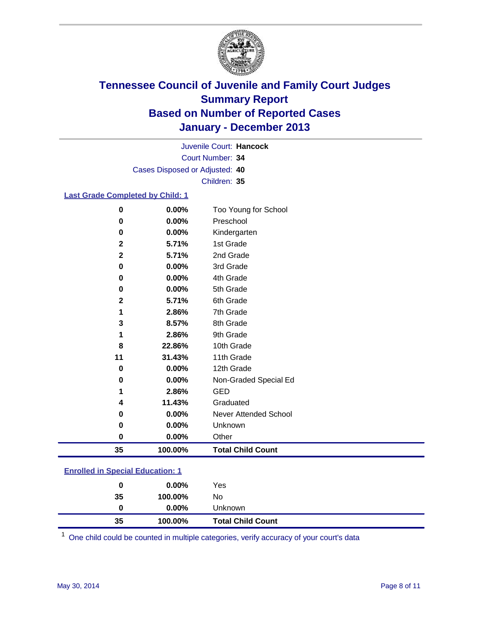

Court Number: **34** Juvenile Court: **Hancock** Cases Disposed or Adjusted: **40** Children: **35**

### **Last Grade Completed by Child: 1**

| $\bf{0}$     | 0.00%   | Too Young for School     |
|--------------|---------|--------------------------|
| 0            | 0.00%   | Preschool                |
| $\bf{0}$     | 0.00%   | Kindergarten             |
| $\mathbf{2}$ | 5.71%   | 1st Grade                |
| $\mathbf{2}$ | 5.71%   | 2nd Grade                |
| 0            | 0.00%   | 3rd Grade                |
| $\bf{0}$     | 0.00%   | 4th Grade                |
| 0            | 0.00%   | 5th Grade                |
| $\mathbf{2}$ | 5.71%   | 6th Grade                |
| 1            | 2.86%   | 7th Grade                |
| 3            | 8.57%   | 8th Grade                |
| 1            | 2.86%   | 9th Grade                |
| 8            | 22.86%  | 10th Grade               |
| 11           | 31.43%  | 11th Grade               |
| 0            | 0.00%   | 12th Grade               |
| $\bf{0}$     | 0.00%   | Non-Graded Special Ed    |
| 1            | 2.86%   | <b>GED</b>               |
| 4            | 11.43%  | Graduated                |
| 0            | 0.00%   | Never Attended School    |
| 0            | 0.00%   | Unknown                  |
| 0            | 0.00%   | Other                    |
| 35           | 100.00% | <b>Total Child Count</b> |

### **Enrolled in Special Education: 1**

One child could be counted in multiple categories, verify accuracy of your court's data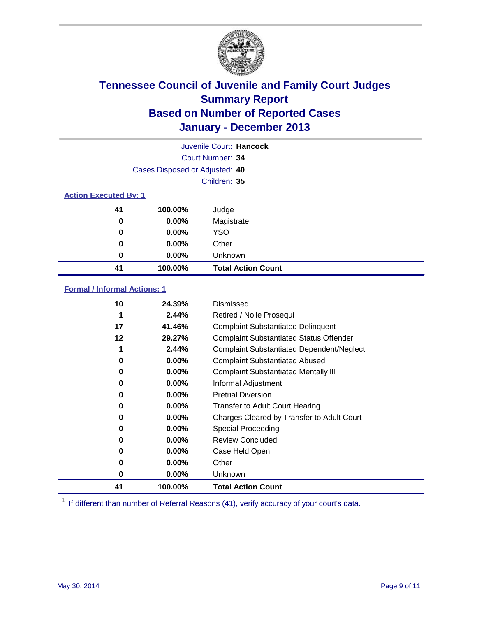

|                              |                                | Juvenile Court: Hancock   |
|------------------------------|--------------------------------|---------------------------|
|                              |                                | Court Number: 34          |
|                              | Cases Disposed or Adjusted: 40 |                           |
|                              |                                | Children: 35              |
| <b>Action Executed By: 1</b> |                                |                           |
| 41                           | 100.00%                        | Judge                     |
| 0                            | $0.00\%$                       | Magistrate                |
| 0                            | $0.00\%$                       | <b>YSO</b>                |
| 0                            | $0.00\%$                       | Other                     |
| 0                            | $0.00\%$                       | Unknown                   |
| 41                           | 100.00%                        | <b>Total Action Count</b> |

### **Formal / Informal Actions: 1**

| 10       | 24.39%   | Dismissed                                        |
|----------|----------|--------------------------------------------------|
| 1        | 2.44%    | Retired / Nolle Prosequi                         |
| 17       | 41.46%   | <b>Complaint Substantiated Delinquent</b>        |
| 12       | 29.27%   | <b>Complaint Substantiated Status Offender</b>   |
| 1        | 2.44%    | <b>Complaint Substantiated Dependent/Neglect</b> |
| 0        | $0.00\%$ | <b>Complaint Substantiated Abused</b>            |
| $\bf{0}$ | $0.00\%$ | <b>Complaint Substantiated Mentally III</b>      |
| 0        | 0.00%    | Informal Adjustment                              |
| 0        | $0.00\%$ | <b>Pretrial Diversion</b>                        |
| 0        | $0.00\%$ | <b>Transfer to Adult Court Hearing</b>           |
| 0        | 0.00%    | Charges Cleared by Transfer to Adult Court       |
| 0        | $0.00\%$ | Special Proceeding                               |
| 0        | $0.00\%$ | <b>Review Concluded</b>                          |
| 0        | $0.00\%$ | Case Held Open                                   |
| 0        | $0.00\%$ | Other                                            |
| 0        | $0.00\%$ | Unknown                                          |
| 41       | 100.00%  | <b>Total Action Count</b>                        |

<sup>1</sup> If different than number of Referral Reasons (41), verify accuracy of your court's data.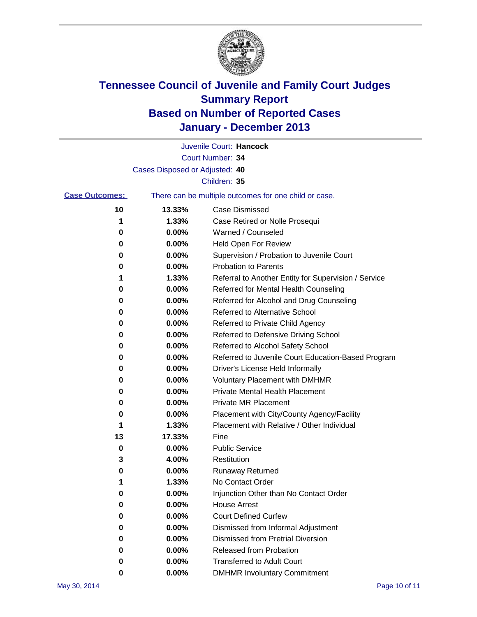

|                       |                                                       | Juvenile Court: Hancock                              |
|-----------------------|-------------------------------------------------------|------------------------------------------------------|
|                       |                                                       | Court Number: 34                                     |
|                       | Cases Disposed or Adjusted: 40                        |                                                      |
|                       |                                                       | Children: 35                                         |
| <b>Case Outcomes:</b> | There can be multiple outcomes for one child or case. |                                                      |
| 10                    | 13.33%                                                | <b>Case Dismissed</b>                                |
| 1                     | 1.33%                                                 | Case Retired or Nolle Prosequi                       |
| 0                     | 0.00%                                                 | Warned / Counseled                                   |
| 0                     | 0.00%                                                 | <b>Held Open For Review</b>                          |
| 0                     | 0.00%                                                 | Supervision / Probation to Juvenile Court            |
| 0                     | 0.00%                                                 | <b>Probation to Parents</b>                          |
| 1                     | 1.33%                                                 | Referral to Another Entity for Supervision / Service |
| 0                     | 0.00%                                                 | Referred for Mental Health Counseling                |
| 0                     | 0.00%                                                 | Referred for Alcohol and Drug Counseling             |
| 0                     | 0.00%                                                 | <b>Referred to Alternative School</b>                |
| 0                     | 0.00%                                                 | Referred to Private Child Agency                     |
| 0                     | 0.00%                                                 | Referred to Defensive Driving School                 |
| 0                     | 0.00%                                                 | Referred to Alcohol Safety School                    |
| 0                     | 0.00%                                                 | Referred to Juvenile Court Education-Based Program   |
| 0                     | 0.00%                                                 | Driver's License Held Informally                     |
| 0                     | 0.00%                                                 | <b>Voluntary Placement with DMHMR</b>                |
| 0                     | 0.00%                                                 | <b>Private Mental Health Placement</b>               |
| 0                     | 0.00%                                                 | <b>Private MR Placement</b>                          |
| 0                     | 0.00%                                                 | Placement with City/County Agency/Facility           |
| 1                     | 1.33%                                                 | Placement with Relative / Other Individual           |
| 13                    | 17.33%                                                | Fine                                                 |
| 0                     | 0.00%                                                 | <b>Public Service</b>                                |
| 3                     | 4.00%                                                 | Restitution                                          |
| 0                     | 0.00%                                                 | <b>Runaway Returned</b>                              |
|                       | 1.33%                                                 | No Contact Order                                     |
| 0                     | $0.00\%$                                              | Injunction Other than No Contact Order               |
| 0                     | 0.00%                                                 | <b>House Arrest</b>                                  |
| 0                     | 0.00%                                                 | <b>Court Defined Curfew</b>                          |
| 0                     | 0.00%                                                 | Dismissed from Informal Adjustment                   |
| 0                     | 0.00%                                                 | <b>Dismissed from Pretrial Diversion</b>             |
| 0                     | 0.00%                                                 | Released from Probation                              |
| 0                     | 0.00%                                                 | <b>Transferred to Adult Court</b>                    |
| 0                     | $0.00\%$                                              | <b>DMHMR Involuntary Commitment</b>                  |